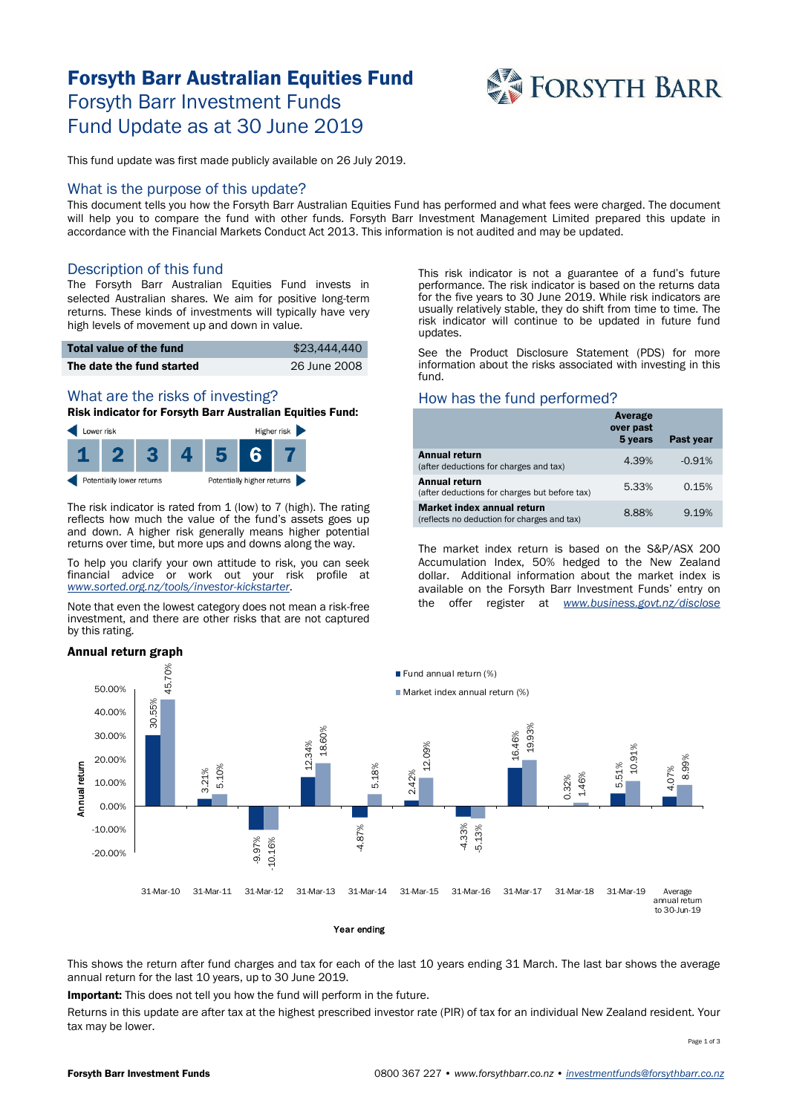# Forsyth Barr Australian Equities Fund Forsyth Barr Investment Funds Fund Update as at 30 June 2019



This fund update was first made publicly available on 26 July 2019.

## What is the purpose of this update?

This document tells you how the Forsyth Barr Australian Equities Fund has performed and what fees were charged. The document will help you to compare the fund with other funds. Forsyth Barr Investment Management Limited prepared this update in accordance with the Financial Markets Conduct Act 2013. This information is not audited and may be updated.

# Description of this fund

The Forsyth Barr Australian Equities Fund invests in selected Australian shares. We aim for positive long-term returns. These kinds of investments will typically have very high levels of movement up and down in value.

| Total value of the fund   | \$23,444,440 |
|---------------------------|--------------|
| The date the fund started | 26 June 2008 |

# What are the risks of investing?

Risk indicator for Forsyth Barr Australian Equities Fund:



The risk indicator is rated from 1 (low) to 7 (high). The rating reflects how much the value of the fund's assets goes up and down. A higher risk generally means higher potential returns over time, but more ups and downs along the way.

To help you clarify your own attitude to risk, you can seek financial advice or work out your risk profile at *[www.sorted.org.nz/tools/investor-kickstarter](http://www.sorted.org.nz/tools/investor-kickstarter)*.

Note that even the lowest category does not mean a risk-free investment, and there are other risks that are not captured by this rating.

#### Annual return graph

This risk indicator is not a guarantee of a fund's future performance. The risk indicator is based on the returns data for the five years to 30 June 2019. While risk indicators are usually relatively stable, they do shift from time to time. The risk indicator will continue to be updated in future fund updates.

See the Product Disclosure Statement (PDS) for more information about the risks associated with investing in this fund.

## How has the fund performed?

|                                                                                  | Average<br>over past<br>5 years | Past year |
|----------------------------------------------------------------------------------|---------------------------------|-----------|
| <b>Annual return</b><br>(after deductions for charges and tax)                   | 4.39%                           | $-0.91%$  |
| Annual return<br>(after deductions for charges but before tax)                   | 5.33%                           | 0.15%     |
| <b>Market index annual return</b><br>(reflects no deduction for charges and tax) | 8.88%                           | 9.19%     |

The market index return is based on the S&P/ASX 200 Accumulation Index, 50% hedged to the New Zealand dollar. Additional information about the market index is available on the Forsyth Barr Investment Funds' entry on the offer register at *[www.business.govt.nz/disclose](http://www.business.govt.nz/disclose)*



This shows the return after fund charges and tax for each of the last 10 years ending 31 March. The last bar shows the average annual return for the last 10 years, up to 30 June 2019.

Important: This does not tell you how the fund will perform in the future.

Returns in this update are after tax at the highest prescribed investor rate (PIR) of tax for an individual New Zealand resident. Your tax may be lower.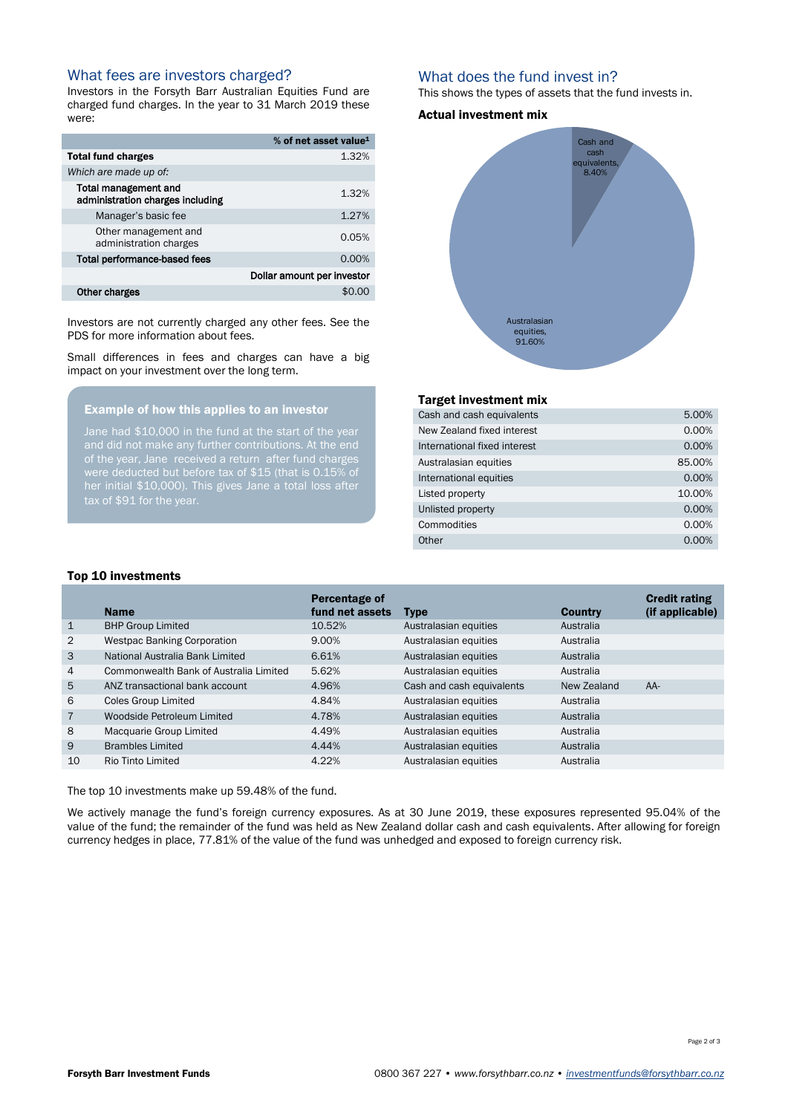## What fees are investors charged?

Investors in the Forsyth Barr Australian Equities Fund are charged fund charges. In the year to 31 March 2019 these were:

|                                                                 | % of net asset value <sup>1</sup> |
|-----------------------------------------------------------------|-----------------------------------|
| Total fund charges                                              | 1.32%                             |
| Which are made up of:                                           |                                   |
| <b>Total management and</b><br>administration charges including | 1.32%                             |
| Manager's basic fee                                             | 1.27%                             |
| Other management and<br>administration charges                  | 0.05%                             |
| Total performance-based fees                                    | $0.00\%$                          |
|                                                                 | Dollar amount per investor        |
| Other charges                                                   |                                   |

Investors are not currently charged any other fees. See the PDS for more information about fees.

Small differences in fees and charges can have a big impact on your investment over the long term.

### Example of how this applies to an investor

of the year, Jane received a return after fund charges her initial \$10,000). This gives Jane a total loss after tax of \$91 for the year.

# What does the fund invest in?

This shows the types of assets that the fund invests in.

#### Actual investment mix



#### Target investment mix

| 5.00%  |
|--------|
| 0.00%  |
| 0.00%  |
| 85.00% |
| 0.00%  |
| 10.00% |
| 0.00%  |
| 0.00%  |
| 0.00%  |
|        |

#### Top 10 investments

|                | <b>Name</b>                            | Percentage of<br>fund net assets | <b>Type</b>               | <b>Country</b> | <b>Credit rating</b><br>(if applicable) |
|----------------|----------------------------------------|----------------------------------|---------------------------|----------------|-----------------------------------------|
| $\mathbf{1}$   | <b>BHP Group Limited</b>               | 10.52%                           | Australasian equities     | Australia      |                                         |
| 2              | <b>Westpac Banking Corporation</b>     | 9.00%                            | Australasian equities     | Australia      |                                         |
| 3              | National Australia Bank Limited        | 6.61%                            | Australasian equities     | Australia      |                                         |
| $\overline{4}$ | Commonwealth Bank of Australia Limited | 5.62%                            | Australasian equities     | Australia      |                                         |
| 5              | ANZ transactional bank account         | 4.96%                            | Cash and cash equivalents | New Zealand    | $AA-$                                   |
| 6              | <b>Coles Group Limited</b>             | 4.84%                            | Australasian equities     | Australia      |                                         |
| $\overline{7}$ | Woodside Petroleum Limited             | 4.78%                            | Australasian equities     | Australia      |                                         |
| 8              | Macquarie Group Limited                | 4.49%                            | Australasian equities     | Australia      |                                         |
| 9              | <b>Brambles Limited</b>                | 4.44%                            | Australasian equities     | Australia      |                                         |
| 10             | <b>Rio Tinto Limited</b>               | 4.22%                            | Australasian equities     | Australia      |                                         |

The top 10 investments make up 59.48% of the fund.

We actively manage the fund's foreign currency exposures. As at 30 June 2019, these exposures represented 95.04% of the value of the fund; the remainder of the fund was held as New Zealand dollar cash and cash equivalents. After allowing for foreign currency hedges in place, 77.81% of the value of the fund was unhedged and exposed to foreign currency risk.